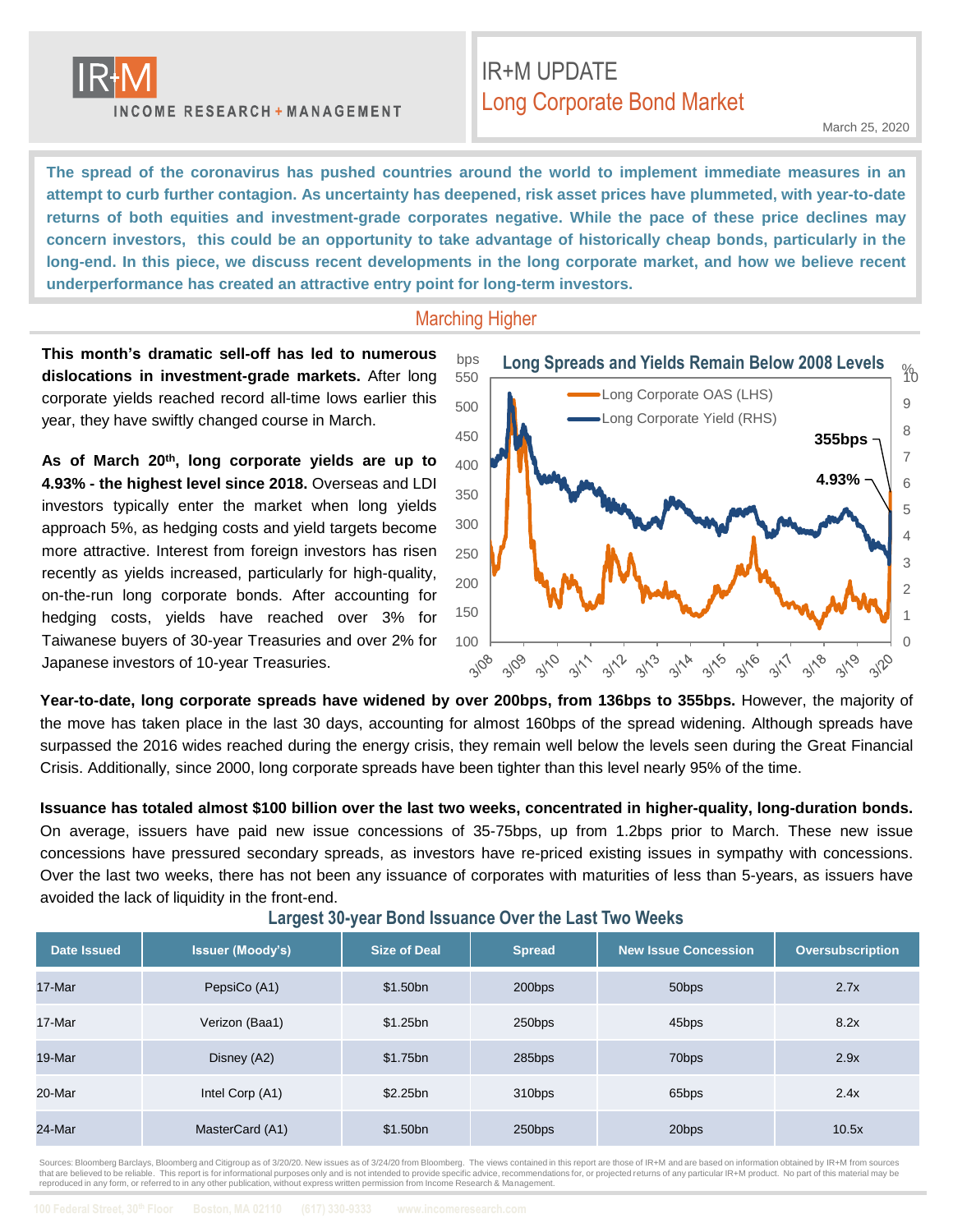

**INCOME RESEARCH + MANAGEMENT** 

## IR+M UPDATE Long Corporate Bond Market

March 25, 2020

**The spread of the coronavirus has pushed countries around the world to implement immediate measures in an** attempt to curb further contagion. As uncertainty has deepened, risk asset prices have plummeted, with year-to-date **returns of both equities and investment-grade corporates negative. While the pace of these price declines may** concern investors, this could be an opportunity to take advantage of historically cheap bonds, particularly in the long-end. In this piece, we discuss recent developments in the long corporate market, and how we believe recent **underperformance has created an attractive entry point for long-term investors.**

#### Marching Higher

**This month's dramatic sell-off has led to numerous dislocations in investment-grade markets.** After long corporate yields reached record all-time lows earlier this year, they have swiftly changed course in March.

**As of March 20th, long corporate yields are up to 4.93% - the highest level since 2018.** Overseas and LDI investors typically enter the market when long yields approach 5%, as hedging costs and yield targets become more attractive. Interest from foreign investors has risen recently as yields increased, particularly for high-quality, on-the-run long corporate bonds. After accounting for hedging costs, yields have reached over 3% for Taiwanese buyers of 30-year Treasuries and over 2% for Japanese investors of 10-year Treasuries.



**Year-to-date, long corporate spreads have widened by over 200bps, from 136bps to 355bps.** However, the majority of the move has taken place in the last 30 days, accounting for almost 160bps of the spread widening. Although spreads have surpassed the 2016 wides reached during the energy crisis, they remain well below the levels seen during the Great Financial Crisis. Additionally, since 2000, long corporate spreads have been tighter than this level nearly 95% of the time.

Issuance has totaled almost \$100 billion over the last two weeks, concentrated in higher-quality, long-duration bonds. On average, issuers have paid new issue concessions of 35-75bps, up from 1.2bps prior to March. These new issue concessions have pressured secondary spreads, as investors have re-priced existing issues in sympathy with concessions. Over the last two weeks, there has not been any issuance of corporates with maturities of less than 5-years, as issuers have avoided the lack of liquidity in the front-end.

| Date Issued | <b>Issuer (Moody's)</b> | <b>Size of Deal</b> | <b>Spread</b> | <b>New Issue Concession</b> | <b>Oversubscription</b> |
|-------------|-------------------------|---------------------|---------------|-----------------------------|-------------------------|
| 17-Mar      | PepsiCo (A1)            | \$1.50bn            | 200bps        | 50 <sub>bps</sub>           | 2.7x                    |
| 17-Mar      | Verizon (Baa1)          | \$1.25bn            | 250bps        | 45bps                       | 8.2x                    |
| 19-Mar      | Disney (A2)             | \$1.75bn            | 285bps        | 70 <sub>bps</sub>           | 2.9x                    |
| 20-Mar      | Intel Corp (A1)         | \$2.25bn            | 310bps        | 65bps                       | 2.4x                    |
| 24-Mar      | MasterCard (A1)         | \$1.50bn            | 250bps        | 20bps                       | 10.5x                   |

**Largest 30-year Bond Issuance Over the Last Two Weeks**

Sources: Bloomberg Barclays, Bloomberg and Citigroup as of 3/20/20. New issues as of 3/24/20 from Bloomberg. The views contained in this report are those of IR+M and are based on information obtained by IR+M from sources that are believed to be reliable. This report is for informational purposes only and is not intended to provide specific advice, recommendations for, or projected returns of any particular IR+M product. No part of this mat